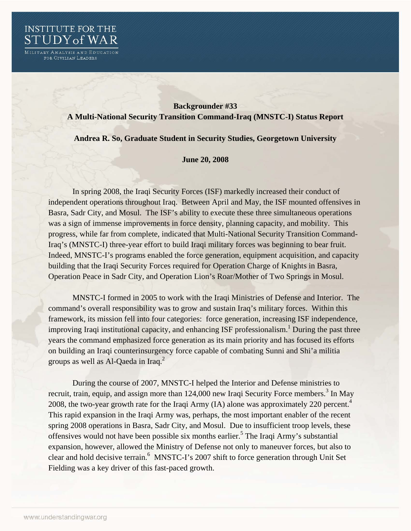

MILITARY ANALYSIS AND EDUCATION<br>FOR CIVILIAN LEADERS

## **Backgrounder #33 A Multi-National Security Transition Command-Iraq (MNSTC-I) Status Report**

## **Andrea R. So, Graduate Student in Security Studies, Georgetown University**

## **June 20, 2008**

In spring 2008, the Iraqi Security Forces (ISF) markedly increased their conduct of independent operations throughout Iraq. Between April and May, the ISF mounted offensives in Basra, Sadr City, and Mosul. The ISF's ability to execute these three simultaneous operations was a sign of immense improvements in force density, planning capacity, and mobility. This progress, while far from complete, indicated that Multi-National Security Transition Command-Iraq's (MNSTC-I) three-year effort to build Iraqi military forces was beginning to bear fruit. Indeed, MNSTC-I's programs enabled the force generation, equipment acquisition, and capacity building that the Iraqi Security Forces required for Operation Charge of Knights in Basra, Operation Peace in Sadr City, and Operation Lion's Roar/Mother of Two Springs in Mosul.

 MNSTC-I formed in 2005 to work with the Iraqi Ministries of Defense and Interior. The command's overall responsibility was to grow and sustain Iraq's military forces. Within this framework, its mission fell into four categories: force generation, increasing ISF independence, improving Iraqi institutional capacity, and enhancing ISF professionalism.<sup>1</sup> During the past three years the command emphasized force generation as its main priority and has focused its efforts on building an Iraqi counterinsurgency force capable of combating Sunni and Shi'a militia groups as well as Al-Qaeda in Iraq. $2$ 

 During the course of 2007, MNSTC-I helped the Interior and Defense ministries to recruit, train, equip, and assign more than  $124,000$  new Iraqi Security Force members.<sup>3</sup> In May 2008, the two-year growth rate for the Iraqi Army (IA) alone was approximately 220 percent.<sup>4</sup> This rapid expansion in the Iraqi Army was, perhaps, the most important enabler of the recent spring 2008 operations in Basra, Sadr City, and Mosul. Due to insufficient troop levels, these offensives would not have been possible six months earlier.<sup>5</sup> The Iraqi Army's substantial expansion, however, allowed the Ministry of Defense not only to maneuver forces, but also to clear and hold decisive terrain.<sup>6</sup> MNSTC-I's 2007 shift to force generation through Unit Set Fielding was a key driver of this fast-paced growth.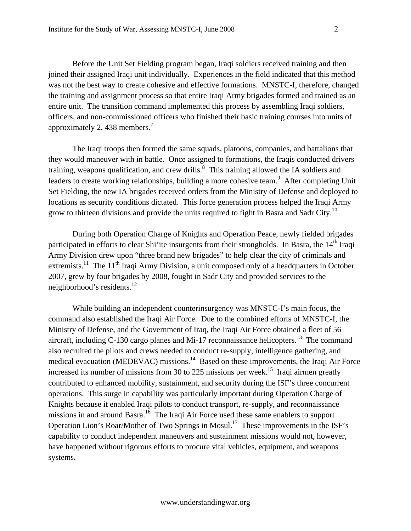Before the Unit Set Fielding program began, Iraqi soldiers received training and then joined their assigned Iraqi unit individually. Experiences in the field indicated that this method was not the best way to create cohesive and effective formations. MNSTC-I, therefore, changed the training and assignment process so that entire Iraqi Army brigades formed and trained as an entire unit. The transition command implemented this process by assembling Iraqi soldiers, officers, and non-commissioned officers who finished their basic training courses into units of approximately 2, 438 members.<sup>7</sup>

The Iraqi troops then formed the same squads, platoons, companies, and battalions that they would maneuver with in battle. Once assigned to formations, the Iraqis conducted drivers training, weapons qualification, and crew drills. <sup>8</sup> This training allowed the IA soldiers and leaders to create working relationships, building a more cohesive team.<sup>9</sup> After completing Unit Set Fielding, the new IA brigades received orders from the Ministry of Defense and deployed to locations as security conditions dictated. This force generation process helped the Iraqi Army grow to thirteen divisions and provide the units required to fight in Basra and Sadr City.<sup>10</sup>

During both Operation Charge of Knights and Operation Peace, newly fielded brigades participated in efforts to clear Shi'ite insurgents from their strongholds. In Basra, the 14<sup>th</sup> Iraqi Army Division drew upon "three brand new brigades" to help clear the city of criminals and extremists.<sup>11</sup> The 11<sup>th</sup> Iraqi Army Division, a unit composed only of a headquarters in October 2007, grew by four brigades by 2008, fought in Sadr City and provided services to the neighborhood's residents.<sup>12</sup>

While building an independent counterinsurgency was MNSTC-I's main focus, the command also established the Iraqi Air Force. Due to the combined efforts of MNSTC-I, the Ministry of Defense, and the Government of Iraq, the Iraqi Air Force obtained a fleet of 56 aircraft, including C-130 cargo planes and Mi-17 reconnaissance helicopters.<sup>13</sup> The command also recruited the pilots and crews needed to conduct re-supply, intelligence gathering, and medical evacuation (MEDEVAC) missions.<sup>14</sup> Based on these improvements, the Iraqi Air Force increased its number of missions from 30 to 225 missions per week.<sup>15</sup> Iraqi airmen greatly contributed to enhanced mobility, sustainment, and security during the ISF's three concurrent operations. This surge in capability was particularly important during Operation Charge of Knights because it enabled Iraqi pilots to conduct transport, re-supply, and reconnaissance missions in and around Basra.<sup>16</sup> The Iraqi Air Force used these same enablers to support Operation Lion's Roar/Mother of Two Springs in Mosul.17 These improvements in the ISF's capability to conduct independent maneuvers and sustainment missions would not, however, have happened without rigorous efforts to procure vital vehicles, equipment, and weapons systems.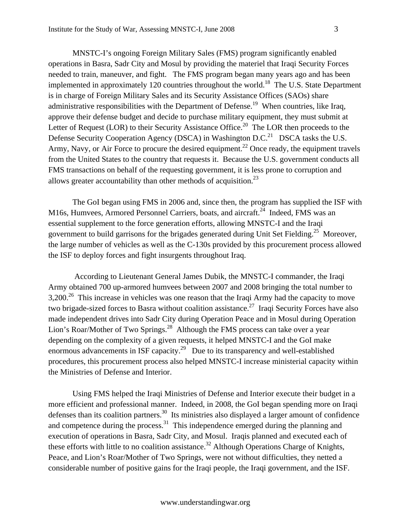MNSTC-I's ongoing Foreign Military Sales (FMS) program significantly enabled operations in Basra, Sadr City and Mosul by providing the materiel that Iraqi Security Forces needed to train, maneuver, and fight. The FMS program began many years ago and has been implemented in approximately 120 countries throughout the world.<sup>18</sup> The U.S. State Department is in charge of Foreign Military Sales and its Security Assistance Offices (SAOs) share administrative responsibilities with the Department of Defense.<sup>19</sup> When countries, like Iraq, approve their defense budget and decide to purchase military equipment, they must submit at Letter of Request (LOR) to their Security Assistance Office.<sup>20</sup> The LOR then proceeds to the Defense Security Cooperation Agency (DSCA) in Washington D.C.<sup>21</sup> DSCA tasks the U.S. Army, Navy, or Air Force to procure the desired equipment.<sup>22</sup> Once ready, the equipment travels from the United States to the country that requests it. Because the U.S. government conducts all FMS transactions on behalf of the requesting government, it is less prone to corruption and allows greater accountability than other methods of acquisition.<sup>23</sup>

The GoI began using FMS in 2006 and, since then, the program has supplied the ISF with M16s, Humvees, Armored Personnel Carriers, boats, and aircraft.<sup>24</sup> Indeed, FMS was an essential supplement to the force generation efforts, allowing MNSTC-I and the Iraqi government to build garrisons for the brigades generated during Unit Set Fielding.<sup>25</sup> Moreover, the large number of vehicles as well as the C-130s provided by this procurement process allowed the ISF to deploy forces and fight insurgents throughout Iraq.

 According to Lieutenant General James Dubik, the MNSTC-I commander, the Iraqi Army obtained 700 up-armored humvees between 2007 and 2008 bringing the total number to  $3,200<sup>26</sup>$  This increase in vehicles was one reason that the Iraqi Army had the capacity to move two brigade-sized forces to Basra without coalition assistance.<sup>27</sup> Iraqi Security Forces have also made independent drives into Sadr City during Operation Peace and in Mosul during Operation Lion's Roar/Mother of Two Springs.<sup>28</sup> Although the FMS process can take over a year depending on the complexity of a given requests, it helped MNSTC-I and the GoI make enormous advancements in ISF capacity.<sup>29</sup> Due to its transparency and well-established procedures, this procurement process also helped MNSTC-I increase ministerial capacity within the Ministries of Defense and Interior.

Using FMS helped the Iraqi Ministries of Defense and Interior execute their budget in a more efficient and professional manner. Indeed, in 2008, the GoI began spending more on Iraqi defenses than its coalition partners.<sup>30</sup> Its ministries also displayed a larger amount of confidence and competence during the process.<sup>31</sup> This independence emerged during the planning and execution of operations in Basra, Sadr City, and Mosul. Iraqis planned and executed each of these efforts with little to no coalition assistance.<sup>32</sup> Although Operations Charge of Knights, Peace, and Lion's Roar/Mother of Two Springs, were not without difficulties, they netted a considerable number of positive gains for the Iraqi people, the Iraqi government, and the ISF.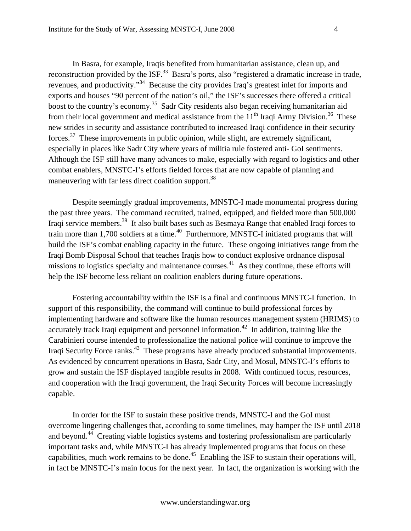In Basra, for example, Iraqis benefited from humanitarian assistance, clean up, and reconstruction provided by the ISF.<sup>33</sup> Basra's ports, also "registered a dramatic increase in trade, revenues, and productivity."34 Because the city provides Iraq's greatest inlet for imports and exports and houses "90 percent of the nation's oil," the ISF's successes there offered a critical boost to the country's economy.<sup>35</sup> Sadr City residents also began receiving humanitarian aid from their local government and medical assistance from the  $11<sup>th</sup>$  Iraqi Army Division.<sup>36</sup> These new strides in security and assistance contributed to increased Iraqi confidence in their security forces.<sup>37</sup> These improvements in public opinion, while slight, are extremely significant, especially in places like Sadr City where years of militia rule fostered anti- GoI sentiments. Although the ISF still have many advances to make, especially with regard to logistics and other combat enablers, MNSTC-I's efforts fielded forces that are now capable of planning and maneuvering with far less direct coalition support.<sup>38</sup>

 Despite seemingly gradual improvements, MNSTC-I made monumental progress during the past three years. The command recruited, trained, equipped, and fielded more than 500,000 Iraqi service members.39 It also built bases such as Besmaya Range that enabled Iraqi forces to train more than 1,700 soldiers at a time.<sup>40</sup> Furthermore, MNSTC-I initiated programs that will build the ISF's combat enabling capacity in the future. These ongoing initiatives range from the Iraqi Bomb Disposal School that teaches Iraqis how to conduct explosive ordnance disposal missions to logistics specialty and maintenance courses.<sup>41</sup> As they continue, these efforts will help the ISF become less reliant on coalition enablers during future operations.

Fostering accountability within the ISF is a final and continuous MNSTC-I function. In support of this responsibility, the command will continue to build professional forces by implementing hardware and software like the human resources management system (HRIMS) to accurately track Iraqi equipment and personnel information.<sup>42</sup> In addition, training like the Carabinieri course intended to professionalize the national police will continue to improve the Iraqi Security Force ranks.<sup>43</sup> These programs have already produced substantial improvements. As evidenced by concurrent operations in Basra, Sadr City, and Mosul, MNSTC-I's efforts to grow and sustain the ISF displayed tangible results in 2008. With continued focus, resources, and cooperation with the Iraqi government, the Iraqi Security Forces will become increasingly capable.

In order for the ISF to sustain these positive trends, MNSTC-I and the GoI must overcome lingering challenges that, according to some timelines, may hamper the ISF until 2018 and beyond.<sup>44</sup> Creating viable logistics systems and fostering professionalism are particularly important tasks and, while MNSTC-I has already implemented programs that focus on these capabilities, much work remains to be done.<sup>45</sup> Enabling the ISF to sustain their operations will, in fact be MNSTC-I's main focus for the next year. In fact, the organization is working with the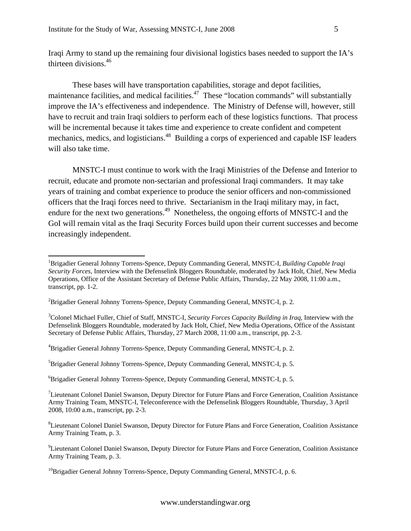Iraqi Army to stand up the remaining four divisional logistics bases needed to support the IA's thirteen divisions.46

These bases will have transportation capabilities, storage and depot facilities, maintenance facilities, and medical facilities.<sup>47</sup> These "location commands" will substantially improve the IA's effectiveness and independence. The Ministry of Defense will, however, still have to recruit and train Iraqi soldiers to perform each of these logistics functions. That process will be incremental because it takes time and experience to create confident and competent mechanics, medics, and logisticians.<sup>48</sup> Building a corps of experienced and capable ISF leaders will also take time.

MNSTC-I must continue to work with the Iraqi Ministries of the Defense and Interior to recruit, educate and promote non-sectarian and professional Iraqi commanders. It may take years of training and combat experience to produce the senior officers and non-commissioned officers that the Iraqi forces need to thrive. Sectarianism in the Iraqi military may, in fact, endure for the next two generations.<sup>49</sup> Nonetheless, the ongoing efforts of MNSTC-I and the GoI will remain vital as the Iraqi Security Forces build upon their current successes and become increasingly independent.

 $\overline{a}$ 

<sup>1</sup> Brigadier General Johnny Torrens-Spence, Deputy Commanding General, MNSTC-I, *Building Capable Iraqi Security Forces*, Interview with the Defenselink Bloggers Roundtable, moderated by Jack Holt, Chief, New Media Operations, Office of the Assistant Secretary of Defense Public Affairs, Thursday, 22 May 2008, 11:00 a.m., transcript, pp. 1-2.

<sup>&</sup>lt;sup>2</sup>Brigadier General Johnny Torrens-Spence, Deputy Commanding General, MNSTC-I, p. 2.

<sup>3</sup> Colonel Michael Fuller, Chief of Staff, MNSTC-I, *Security Forces Capacity Building in Iraq*, Interview with the Defenselink Bloggers Roundtable, moderated by Jack Holt, Chief, New Media Operations, Office of the Assistant Secretary of Defense Public Affairs, Thursday, 27 March 2008, 11:00 a.m., transcript, pp. 2-3.

<sup>4</sup> Brigadier General Johnny Torrens-Spence, Deputy Commanding General, MNSTC-I, p. 2.

<sup>5</sup> Brigadier General Johnny Torrens-Spence, Deputy Commanding General, MNSTC-I, p. 5.

<sup>6</sup> Brigadier General Johnny Torrens-Spence, Deputy Commanding General, MNSTC-I, p. 5.

 $7$ Lieutenant Colonel Daniel Swanson, Deputy Director for Future Plans and Force Generation, Coalition Assistance Army Training Team, MNSTC-I, Teleconference with the Defenselink Bloggers Roundtable, Thursday, 3 April 2008, 10:00 a.m., transcript, pp. 2-3.

<sup>&</sup>lt;sup>8</sup>Lieutenant Colonel Daniel Swanson, Deputy Director for Future Plans and Force Generation, Coalition Assistance Army Training Team, p. 3.

<sup>&</sup>lt;sup>9</sup>Lieutenant Colonel Daniel Swanson, Deputy Director for Future Plans and Force Generation, Coalition Assistance Army Training Team, p. 3.

<sup>&</sup>lt;sup>10</sup>Brigadier General Johnny Torrens-Spence, Deputy Commanding General, MNSTC-I, p. 6.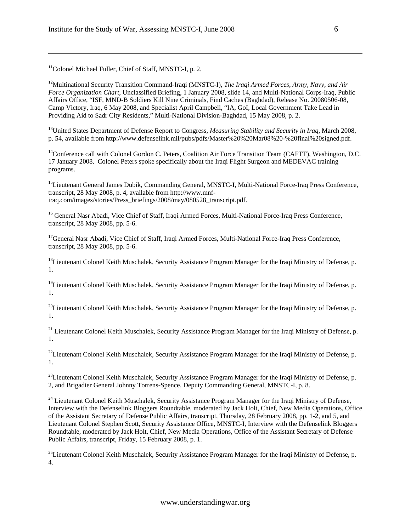<sup>11</sup>Colonel Michael Fuller, Chief of Staff, MNSTC-I, p. 2.

 $\overline{a}$ 

12Multinational Security Transition Command-Iraqi (MNSTC-I), *The Iraqi Armed Forces, Army, Navy, and Air Force Organization Chart*, Unclassified Briefing, 1 January 2008, slide 14, and Multi-National Corps-Iraq, Public Affairs Office, "ISF, MND-B Soldiers Kill Nine Criminals, Find Caches (Baghdad), Release No. 20080506-08, Camp Victory, Iraq, 6 May 2008, and Specialist April Campbell, "IA, GoI, Local Government Take Lead in Providing Aid to Sadr City Residents," Multi-National Division-Baghdad, 15 May 2008, p. 2.

13United States Department of Defense Report to Congress, *Measuring Stability and Security in Iraq*, March 2008, p. 54, available from http://www.defenselink.mil/pubs/pdfs/Master%20%20Mar08%20-%20final%20signed.pdf.

<sup>14</sup>Conference call with Colonel Gordon C. Peters, Coalition Air Force Transition Team (CAFTT), Washington, D.C. 17 January 2008. Colonel Peters spoke specifically about the Iraqi Flight Surgeon and MEDEVAC training programs.

<sup>15</sup>Lieutenant General James Dubik, Commanding General, MNSTC-I, Multi-National Force-Iraq Press Conference, transcript, 28 May 2008, p. 4, available from http://www.mnfiraq.com/images/stories/Press\_briefings/2008/may/080528\_transcript.pdf.

<sup>16</sup> General Nasr Abadi, Vice Chief of Staff, Iraqi Armed Forces, Multi-National Force-Iraq Press Conference, transcript, 28 May 2008, pp. 5-6.

<sup>17</sup>General Nasr Abadi, Vice Chief of Staff, Iraqi Armed Forces, Multi-National Force-Iraq Press Conference, transcript, 28 May 2008, pp. 5-6.

<sup>18</sup>Lieutenant Colonel Keith Muschalek, Security Assistance Program Manager for the Iraqi Ministry of Defense, p. 1.

<sup>19</sup>Lieutenant Colonel Keith Muschalek, Security Assistance Program Manager for the Iraqi Ministry of Defense, p. 1.

 $^{20}$ Lieutenant Colonel Keith Muschalek, Security Assistance Program Manager for the Iraqi Ministry of Defense, p. 1.

<sup>21</sup> Lieutenant Colonel Keith Muschalek, Security Assistance Program Manager for the Iraqi Ministry of Defense, p. 1.

 $^{22}$ Lieutenant Colonel Keith Muschalek, Security Assistance Program Manager for the Iraqi Ministry of Defense, p. 1.

<sup>23</sup>Lieutenant Colonel Keith Muschalek, Security Assistance Program Manager for the Iraqi Ministry of Defense, p. 2, and Brigadier General Johnny Torrens-Spence, Deputy Commanding General, MNSTC-I, p. 8.

<sup>24</sup> Lieutenant Colonel Keith Muschalek, Security Assistance Program Manager for the Iraqi Ministry of Defense, Interview with the Defenselink Bloggers Roundtable, moderated by Jack Holt, Chief, New Media Operations, Office of the Assistant Secretary of Defense Public Affairs, transcript, Thursday, 28 February 2008, pp. 1-2, and 5, and Lieutenant Colonel Stephen Scott, Security Assistance Office, MNSTC-I, Interview with the Defenselink Bloggers Roundtable, moderated by Jack Holt, Chief, New Media Operations, Office of the Assistant Secretary of Defense Public Affairs, transcript, Friday, 15 February 2008, p. 1.

<sup>25</sup>Lieutenant Colonel Keith Muschalek, Security Assistance Program Manager for the Iraqi Ministry of Defense, p. 4.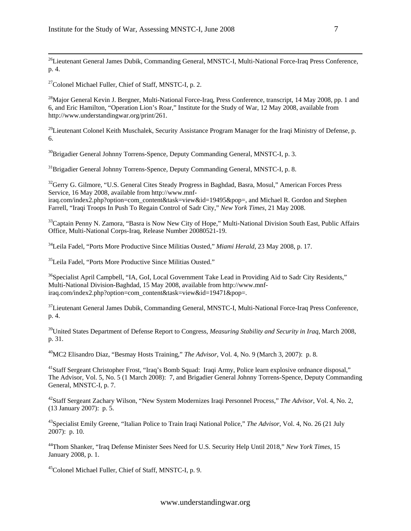<sup>26</sup>Lieutenant General James Dubik, Commanding General, MNSTC-I, Multi-National Force-Iraq Press Conference, p. 4.

 $27$ Colonel Michael Fuller, Chief of Staff, MNSTC-I, p. 2.

<sup>28</sup>Major General Kevin J. Bergner, Multi-National Force-Iraq, Press Conference, transcript, 14 May 2008, pp. 1 and 6, and Eric Hamilton, "Operation Lion's Roar," Institute for the Study of War, 12 May 2008, available from http://www.understandingwar.org/print/261.

<sup>29</sup>Lieutenant Colonel Keith Muschalek, Security Assistance Program Manager for the Iraqi Ministry of Defense, p. 6.

<sup>30</sup>Brigadier General Johnny Torrens-Spence, Deputy Commanding General, MNSTC-I, p. 3.

<sup>31</sup>Brigadier General Johnny Torrens-Spence, Deputy Commanding General, MNSTC-I, p. 8.

<sup>32</sup>Gerry G. Gilmore, "U.S. General Cites Steady Progress in Baghdad, Basra, Mosul," American Forces Press Service, 16 May 2008, available from http://www.mnf-

iraq.com/index2.php?option=com\_content&task=view&id=19495&pop=, and Michael R. Gordon and Stephen Farrell, "Iraqi Troops In Push To Regain Control of Sadr City," *New York Times*, 21 May 2008.

<sup>33</sup>Captain Penny N. Zamora, "Basra is Now New City of Hope," Multi-National Division South East, Public Affairs Office, Multi-National Corps-Iraq, Release Number 20080521-19.

34Leila Fadel, "Ports More Productive Since Militias Ousted," *Miami Herald*, 23 May 2008, p. 17.

35Leila Fadel, "Ports More Productive Since Militias Ousted."

<sup>36</sup>Specialist April Campbell, "IA, GoI, Local Government Take Lead in Providing Aid to Sadr City Residents," Multi-National Division-Baghdad, 15 May 2008, available from http://www.mnfiraq.com/index2.php?option=com\_content&task=view&id=19471&pop=.

 $37$ Lieutenant General James Dubik, Commanding General, MNSTC-I, Multi-National Force-Iraq Press Conference, p. 4.

39United States Department of Defense Report to Congress, *Measuring Stability and Security in Iraq*, March 2008, p. 31.

40MC2 Elisandro Diaz, "Besmay Hosts Training," *The Advisor*, Vol. 4, No. 9 (March 3, 2007): p. 8.

<sup>41</sup>Staff Sergeant Christopher Frost, "Iraq's Bomb Squad: Iraqi Army, Police learn explosive ordnance disposal," The Advisor, Vol. 5, No. 5 (1 March 2008): 7, and Brigadier General Johnny Torrens-Spence, Deputy Commanding General, MNSTC-I, p. 7.

42Staff Sergeant Zachary Wilson, "New System Modernizes Iraqi Personnel Process," *The Advisor*, Vol. 4, No. 2, (13 January 2007): p. 5.

43Specialist Emily Greene, "Italian Police to Train Iraqi National Police," *The Advisor*, Vol. 4, No. 26 (21 July 2007): p. 10.

44Thom Shanker, "Iraq Defense Minister Sees Need for U.S. Security Help Until 2018," *New York Times*, 15 January 2008, p. 1.

45Colonel Michael Fuller, Chief of Staff, MNSTC-I, p. 9.